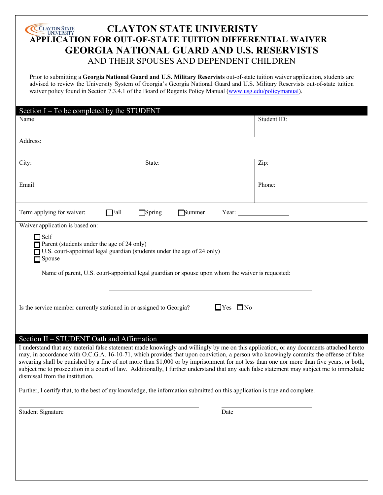# **CLAYTON STATE UNIVERISTY APPLICATION FOR OUT-OF-STATE TUITION DIFFERENTIAL WAIVER APPLICATION FOR OUT-OF-STATE TUITION DIFFERENTIAL WAIVER GEORGIA NATIONAL GUARD AND U.S. RESERVISTS** AND THEIR SPOUSES AND DEPENDENT CHILDREN

Prior to submitting a **Georgia National Guard and U.S. Military Reservists** out-of-state tuition waiver application, students are advised to review the University System of Georgia's Georgia National Guard and U.S. Military Reservists out-of-state tuition waiver policy found in Section 7.3.4.1 of the Board of Regents Policy Manual (www.usg.edu/policymanual).

| Section I – To be completed by the STUDENT                                                                                                                                   |        |             |
|------------------------------------------------------------------------------------------------------------------------------------------------------------------------------|--------|-------------|
| Name:                                                                                                                                                                        |        | Student ID: |
|                                                                                                                                                                              |        |             |
| Address:                                                                                                                                                                     |        |             |
|                                                                                                                                                                              |        |             |
| City:                                                                                                                                                                        | State: | Zip:        |
| Email:                                                                                                                                                                       |        | Phone:      |
|                                                                                                                                                                              |        |             |
|                                                                                                                                                                              |        |             |
| Term applying for waiver:<br>$\Box$ Fall<br>$\Box$ Spring<br><b>Summer</b>                                                                                                   |        |             |
| Waiver application is based on:                                                                                                                                              |        |             |
| $\Box$ Self                                                                                                                                                                  |        |             |
| Parent (students under the age of 24 only)<br>□ U.S. court-appointed legal guardian (students under the age of 24 only)                                                      |        |             |
| $\Box$ Spouse                                                                                                                                                                |        |             |
|                                                                                                                                                                              |        |             |
| Name of parent, U.S. court-appointed legal guardian or spouse upon whom the waiver is requested:                                                                             |        |             |
|                                                                                                                                                                              |        |             |
|                                                                                                                                                                              |        |             |
| $\Box$ Yes $\Box$ No<br>Is the service member currently stationed in or assigned to Georgia?                                                                                 |        |             |
|                                                                                                                                                                              |        |             |
| Section II - STUDENT Oath and Affirmation                                                                                                                                    |        |             |
| I understand that any material false statement made knowingly and willingly by me on this application, or any documents attached hereto                                      |        |             |
| may, in accordance with O.C.G.A. 16-10-71, which provides that upon conviction, a person who knowingly commits the offense of false                                          |        |             |
| swearing shall be punished by a fine of not more than \$1,000 or by imprisonment for not less than one nor more than five years, or both,                                    |        |             |
| subject me to prosecution in a court of law. Additionally, I further understand that any such false statement may subject me to immediate<br>dismissal from the institution. |        |             |
| Further, I certify that, to the best of my knowledge, the information submitted on this application is true and complete.                                                    |        |             |
|                                                                                                                                                                              |        |             |
| <b>Student Signature</b>                                                                                                                                                     | Date   |             |